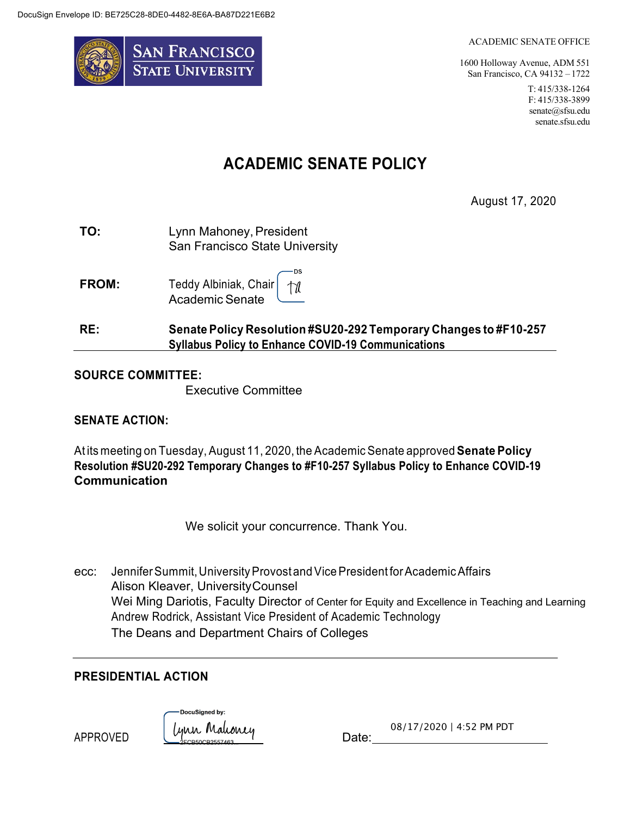

#### ACADEMIC SENATE OFFICE

1600 Holloway Avenue, ADM 551 San Francisco, CA 94132 – 1722

> T: 415/338-1264 F: 415/338-3899 senate@sfsu.edu senate.sfsu.edu

# **ACADEMIC SENATE POLICY**

August 17, 2020

| TO: | Lynn Mahoney, President        |
|-----|--------------------------------|
|     | San Francisco State University |

·DS **FROM:** Teddy Albiniak, Chair 178 Academic Senate

## **RE: Senate Policy Resolution #SU20-292 Temporary Changes to #F10-257 Syllabus Policy to Enhance COVID-19 Communications**

### **SOURCE COMMITTEE:**

Executive Committee

### **SENATE ACTION:**

At its meeting on Tuesday, August 11, 2020, the Academic Senate approved **Senate Policy Resolution #SU20-292 Temporary Changes to #F10-257 Syllabus Policy to Enhance COVID-19 Communication**

We solicit your concurrence. Thank You.

ecc: Jennifer Summit, University Provost and Vice President for Academic Affairs Alison Kleaver, UniversityCounsel Wei Ming Dariotis, Faculty Director of Center for Equity and Excellence in Teaching and Learning Andrew Rodrick, Assistant Vice President of Academic Technology The Deans and Department Chairs of Colleges

### **PRESIDENTIAL ACTION**

APPROVED

DocuSianed by: ynn Mahoney<br>COROCOREEZEE

08/17/2020 | 4:52 PM PDT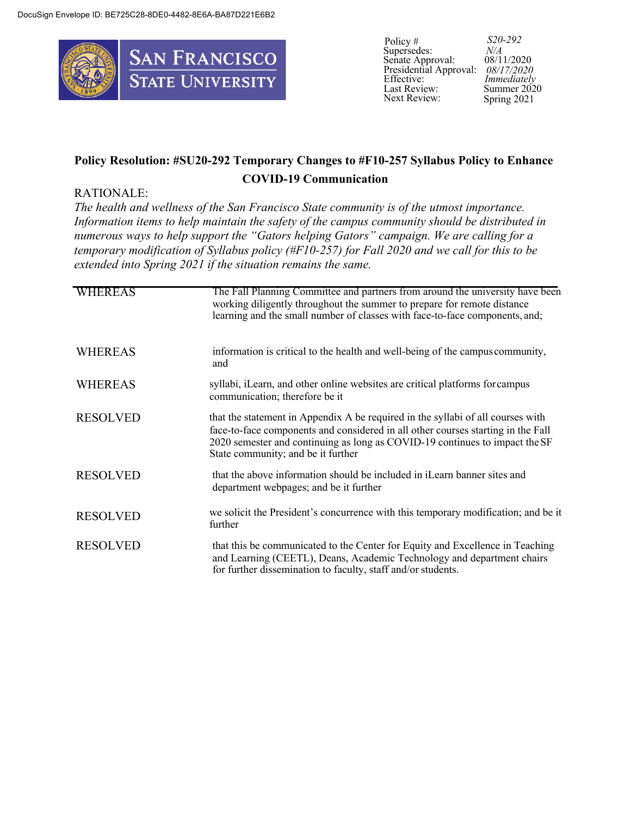

Policy # Supersedes: Senate Approval: Presidential Approval: *08/17/2020* Effective: Last Review: Next Review:

*S20-292 N/A*  08/11/2020 *Immediately* Summer 2020 Spring 2021

# **Policy Resolution: #SU20-292 Temporary Changes to #F10-257 Syllabus Policy to Enhance COVID-19 Communication**

#### RATIONALE:

*The health and wellness of the San Francisco State community is of the utmost importance. Information items to help maintain the safety of the campus community should be distributed in numerous ways to help support the "Gators helping Gators" campaign. We are calling for a temporary modification of Syllabus policy (#F10-257) for Fall 2020 and we call for this to be extended into Spring 2021 if the situation remains the same.*

| <b>WHEREAS</b>  | The Fall Planning Committee and partners from around the university have been<br>working diligently throughout the summer to prepare for remote distance<br>learning and the small number of classes with face-to-face components, and;                                                  |
|-----------------|------------------------------------------------------------------------------------------------------------------------------------------------------------------------------------------------------------------------------------------------------------------------------------------|
| <b>WHEREAS</b>  | information is critical to the health and well-being of the campus community,<br>and                                                                                                                                                                                                     |
| <b>WHEREAS</b>  | syllabi, iLearn, and other online websites are critical platforms for campus<br>communication; therefore be it                                                                                                                                                                           |
| <b>RESOLVED</b> | that the statement in Appendix A be required in the syllabi of all courses with<br>face-to-face components and considered in all other courses starting in the Fall<br>2020 semester and continuing as long as COVID-19 continues to impact the SF<br>State community; and be it further |
| <b>RESOLVED</b> | that the above information should be included in iLearn banner sites and<br>department webpages; and be it further                                                                                                                                                                       |
| <b>RESOLVED</b> | we solicit the President's concurrence with this temporary modification; and be it<br>further                                                                                                                                                                                            |
| <b>RESOLVED</b> | that this be communicated to the Center for Equity and Excellence in Teaching<br>and Learning (CEETL), Deans, Academic Technology and department chairs<br>for further dissemination to faculty, staff and/or students.                                                                  |